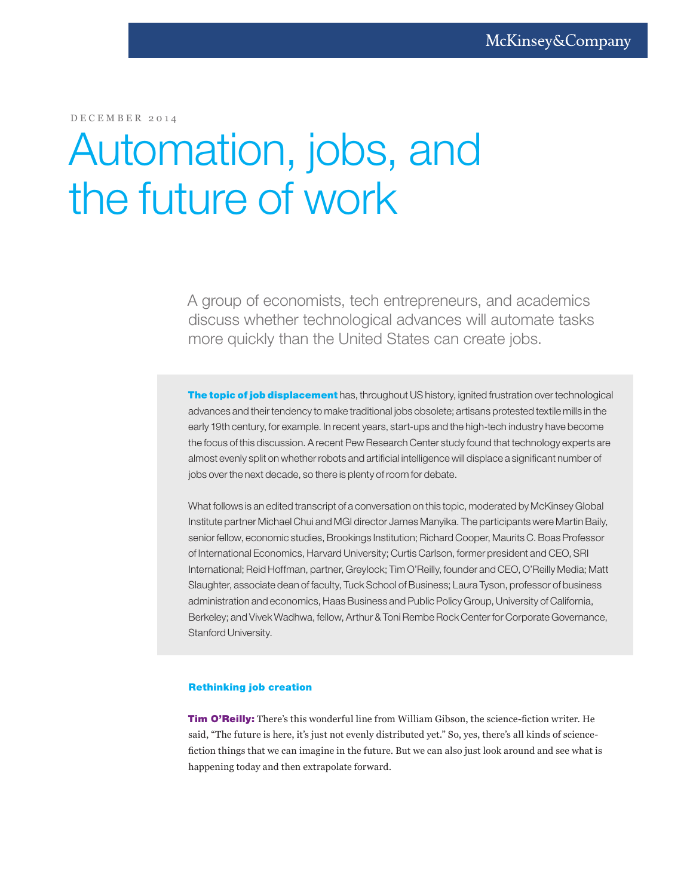DECEMBER 2014

# Automation, jobs, and the future of work

A group of economists, tech entrepreneurs, and academics discuss whether technological advances will automate tasks more quickly than the United States can create jobs.

The topic of job displacement has, throughout US history, ignited frustration over technological advances and their tendency to make traditional jobs obsolete; artisans protested textile mills in the early 19th century, for example. In recent years, start-ups and the high-tech industry have become the focus of this discussion. A recent Pew Research Center study found that technology experts are almost evenly split on whether robots and artificial intelligence will displace a significant number of jobs over the next decade, so there is plenty of room for debate.

What follows is an edited transcript of a conversation on this topic, moderated by McKinsey Global Institute partner Michael Chui and MGI director James Manyika. The participants were Martin Baily, senior fellow, economic studies, Brookings Institution; Richard Cooper, Maurits C. Boas Professor of International Economics, Harvard University; Curtis Carlson, former president and CEO, SRI International; Reid Hoffman, partner, Greylock; Tim O'Reilly, founder and CEO, O'Reilly Media; Matt Slaughter, associate dean of faculty, Tuck School of Business; Laura Tyson, professor of business administration and economics, Haas Business and Public Policy Group, University of California, Berkeley; and Vivek Wadhwa, fellow, Arthur & Toni Rembe Rock Center for Corporate Governance, Stanford University.

## Rethinking job creation

Tim O'Reilly: There's this wonderful line from William Gibson, the science-fiction writer. He said, "The future is here, it's just not evenly distributed yet." So, yes, there's all kinds of sciencefiction things that we can imagine in the future. But we can also just look around and see what is happening today and then extrapolate forward.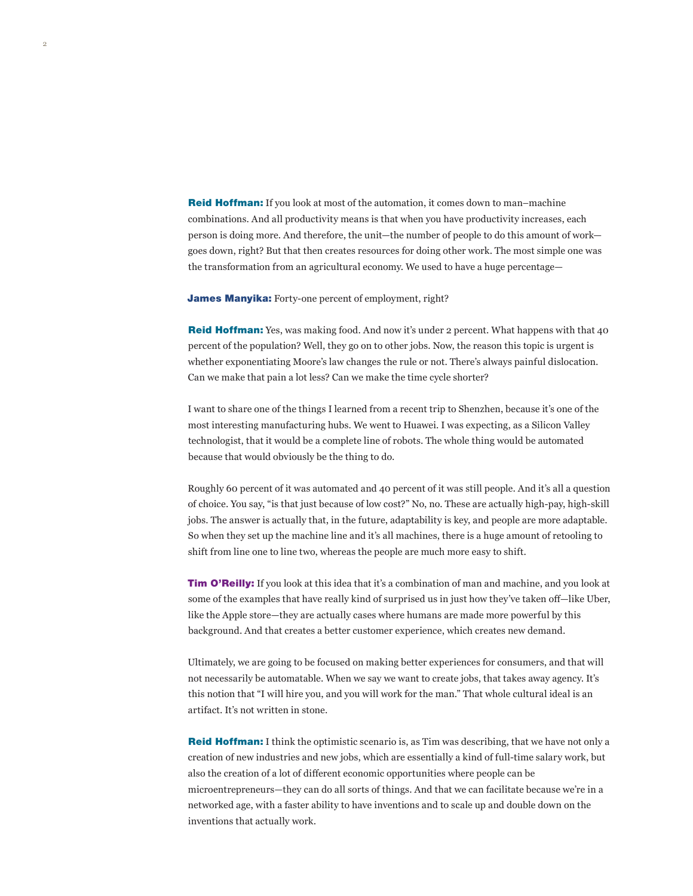**Reid Hoffman:** If you look at most of the automation, it comes down to man–machine combinations. And all productivity means is that when you have productivity increases, each person is doing more. And therefore, the unit—the number of people to do this amount of work goes down, right? But that then creates resources for doing other work. The most simple one was the transformation from an agricultural economy. We used to have a huge percentage—

**James Manyika:** Forty-one percent of employment, right?

2

Reid Hoffman: Yes, was making food. And now it's under 2 percent. What happens with that 40 percent of the population? Well, they go on to other jobs. Now, the reason this topic is urgent is whether exponentiating Moore's law changes the rule or not. There's always painful dislocation. Can we make that pain a lot less? Can we make the time cycle shorter?

I want to share one of the things I learned from a recent trip to Shenzhen, because it's one of the most interesting manufacturing hubs. We went to Huawei. I was expecting, as a Silicon Valley technologist, that it would be a complete line of robots. The whole thing would be automated because that would obviously be the thing to do.

Roughly 60 percent of it was automated and 40 percent of it was still people. And it's all a question of choice. You say, "is that just because of low cost?" No, no. These are actually high-pay, high-skill jobs. The answer is actually that, in the future, adaptability is key, and people are more adaptable. So when they set up the machine line and it's all machines, there is a huge amount of retooling to shift from line one to line two, whereas the people are much more easy to shift.

Tim O'Reilly: If you look at this idea that it's a combination of man and machine, and you look at some of the examples that have really kind of surprised us in just how they've taken off—like Uber, like the Apple store—they are actually cases where humans are made more powerful by this background. And that creates a better customer experience, which creates new demand.

Ultimately, we are going to be focused on making better experiences for consumers, and that will not necessarily be automatable. When we say we want to create jobs, that takes away agency. It's this notion that "I will hire you, and you will work for the man." That whole cultural ideal is an artifact. It's not written in stone.

**Reid Hoffman:** I think the optimistic scenario is, as Tim was describing, that we have not only a creation of new industries and new jobs, which are essentially a kind of full-time salary work, but also the creation of a lot of different economic opportunities where people can be microentrepreneurs—they can do all sorts of things. And that we can facilitate because we're in a networked age, with a faster ability to have inventions and to scale up and double down on the inventions that actually work.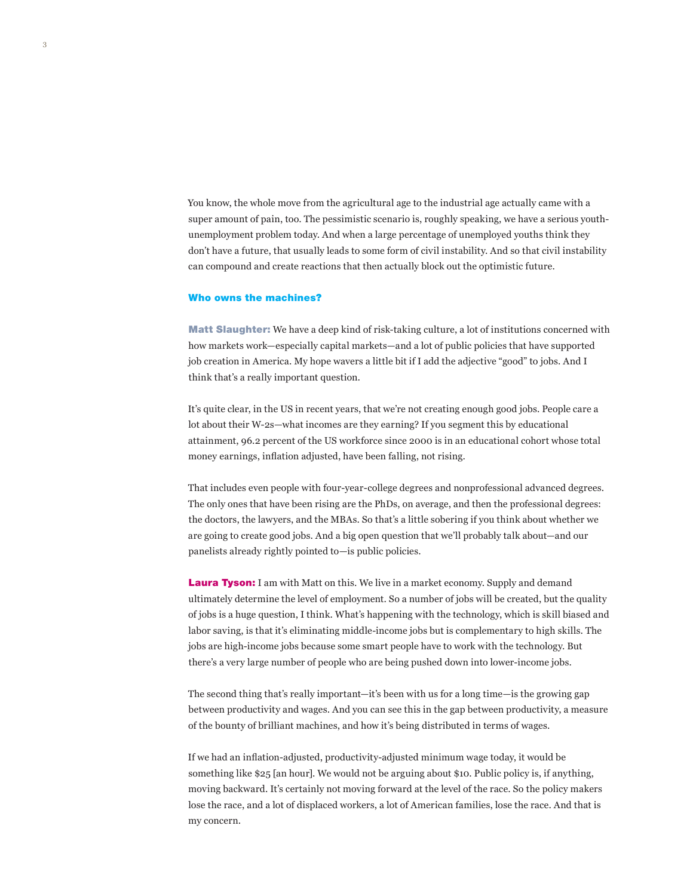You know, the whole move from the agricultural age to the industrial age actually came with a super amount of pain, too. The pessimistic scenario is, roughly speaking, we have a serious youthunemployment problem today. And when a large percentage of unemployed youths think they don't have a future, that usually leads to some form of civil instability. And so that civil instability can compound and create reactions that then actually block out the optimistic future.

### Who owns the machines?

Matt Slaughter: We have a deep kind of risk-taking culture, a lot of institutions concerned with how markets work—especially capital markets—and a lot of public policies that have supported job creation in America. My hope wavers a little bit if I add the adjective "good" to jobs. And I think that's a really important question.

It's quite clear, in the US in recent years, that we're not creating enough good jobs. People care a lot about their W-2s—what incomes are they earning? If you segment this by educational attainment, 96.2 percent of the US workforce since 2000 is in an educational cohort whose total money earnings, inflation adjusted, have been falling, not rising.

That includes even people with four-year-college degrees and nonprofessional advanced degrees. The only ones that have been rising are the PhDs, on average, and then the professional degrees: the doctors, the lawyers, and the MBAs. So that's a little sobering if you think about whether we are going to create good jobs. And a big open question that we'll probably talk about—and our panelists already rightly pointed to—is public policies.

**Laura Tyson:** I am with Matt on this. We live in a market economy. Supply and demand ultimately determine the level of employment. So a number of jobs will be created, but the quality of jobs is a huge question, I think. What's happening with the technology, which is skill biased and labor saving, is that it's eliminating middle-income jobs but is complementary to high skills. The jobs are high-income jobs because some smart people have to work with the technology. But there's a very large number of people who are being pushed down into lower-income jobs.

The second thing that's really important—it's been with us for a long time—is the growing gap between productivity and wages. And you can see this in the gap between productivity, a measure of the bounty of brilliant machines, and how it's being distributed in terms of wages.

If we had an inflation-adjusted, productivity-adjusted minimum wage today, it would be something like \$25 [an hour]. We would not be arguing about \$10. Public policy is, if anything, moving backward. It's certainly not moving forward at the level of the race. So the policy makers lose the race, and a lot of displaced workers, a lot of American families, lose the race. And that is my concern.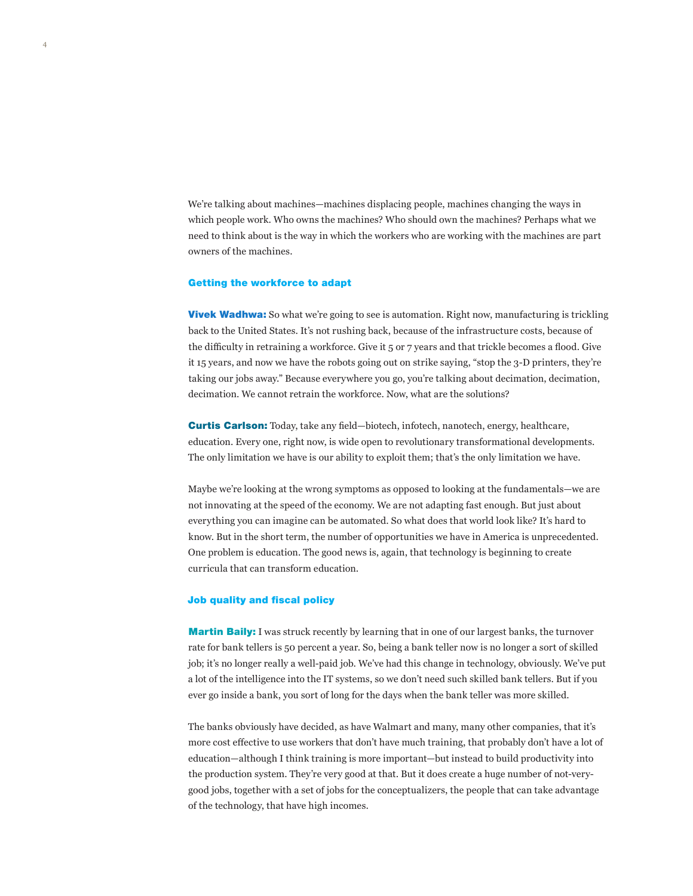We're talking about machines—machines displacing people, machines changing the ways in which people work. Who owns the machines? Who should own the machines? Perhaps what we need to think about is the way in which the workers who are working with the machines are part owners of the machines.

#### Getting the workforce to adapt

**Vivek Wadhwa:** So what we're going to see is automation. Right now, manufacturing is trickling back to the United States. It's not rushing back, because of the infrastructure costs, because of the difficulty in retraining a workforce. Give it 5 or 7 years and that trickle becomes a flood. Give it 15 years, and now we have the robots going out on strike saying, "stop the 3-D printers, they're taking our jobs away." Because everywhere you go, you're talking about decimation, decimation, decimation. We cannot retrain the workforce. Now, what are the solutions?

Curtis Carlson: Today, take any field—biotech, infotech, nanotech, energy, healthcare, education. Every one, right now, is wide open to revolutionary transformational developments. The only limitation we have is our ability to exploit them; that's the only limitation we have.

Maybe we're looking at the wrong symptoms as opposed to looking at the fundamentals—we are not innovating at the speed of the economy. We are not adapting fast enough. But just about everything you can imagine can be automated. So what does that world look like? It's hard to know. But in the short term, the number of opportunities we have in America is unprecedented. One problem is education. The good news is, again, that technology is beginning to create curricula that can transform education.

### Job quality and fiscal policy

**Martin Baily:** I was struck recently by learning that in one of our largest banks, the turnover rate for bank tellers is 50 percent a year. So, being a bank teller now is no longer a sort of skilled job; it's no longer really a well-paid job. We've had this change in technology, obviously. We've put a lot of the intelligence into the IT systems, so we don't need such skilled bank tellers. But if you ever go inside a bank, you sort of long for the days when the bank teller was more skilled.

The banks obviously have decided, as have Walmart and many, many other companies, that it's more cost effective to use workers that don't have much training, that probably don't have a lot of education—although I think training is more important—but instead to build productivity into the production system. They're very good at that. But it does create a huge number of not-verygood jobs, together with a set of jobs for the conceptualizers, the people that can take advantage of the technology, that have high incomes.